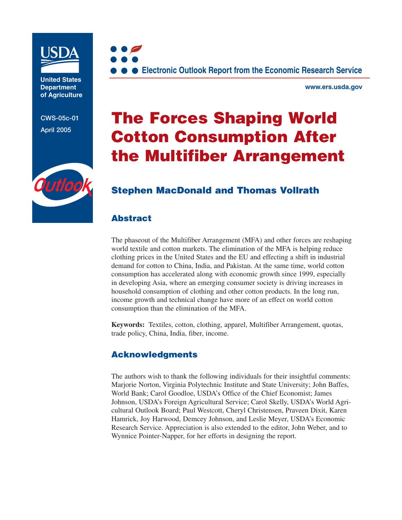

**United States Department of Agriculture**

**CWS-05c-01 April 2005**



**www.ers.usda.gov**

# **The Forces Shaping World Cotton Consumption After the Multifiber Arrangement**

# **Stephen MacDonald and Thomas Vollrath**

# **Abstract**

The phaseout of the Multifiber Arrangement (MFA) and other forces are reshaping world textile and cotton markets. The elimination of the MFA is helping reduce clothing prices in the United States and the EU and effecting a shift in industrial demand for cotton to China, India, and Pakistan. At the same time, world cotton consumption has accelerated along with economic growth since 1999, especially in developing Asia, where an emerging consumer society is driving increases in household consumption of clothing and other cotton products. In the long run, income growth and technical change have more of an effect on world cotton consumption than the elimination of the MFA.

**Keywords:** Textiles, cotton, clothing, apparel, Multifiber Arrangement, quotas, trade policy, China, India, fiber, income.

# **Acknowledgments**

The authors wish to thank the following individuals for their insightful comments: Marjorie Norton, Virginia Polytechnic Institute and State University; John Baffes, World Bank; Carol Goodloe, USDA's Office of the Chief Economist; James Johnson, USDA's Foreign Agricultural Service; Carol Skelly, USDA's World Agricultural Outlook Board; Paul Westcott, Cheryl Christensen, Praveen Dixit, Karen Hamrick, Joy Harwood, Demcey Johnson, and Leslie Meyer, USDA's Economic Research Service. Appreciation is also extended to the editor, John Weber, and to Wynnice Pointer-Napper, for her efforts in designing the report.

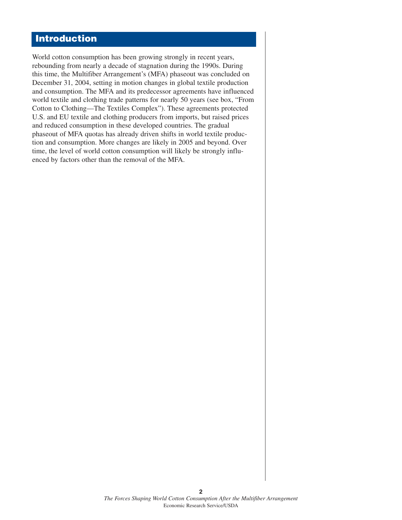# **Introduction**

World cotton consumption has been growing strongly in recent years, rebounding from nearly a decade of stagnation during the 1990s. During this time, the Multifiber Arrangement's (MFA) phaseout was concluded on December 31, 2004, setting in motion changes in global textile production and consumption. The MFA and its predecessor agreements have influenced world textile and clothing trade patterns for nearly 50 years (see box, "From Cotton to Clothing—The Textiles Complex"). These agreements protected U.S. and EU textile and clothing producers from imports, but raised prices and reduced consumption in these developed countries. The gradual phaseout of MFA quotas has already driven shifts in world textile production and consumption. More changes are likely in 2005 and beyond. Over time, the level of world cotton consumption will likely be strongly influenced by factors other than the removal of the MFA.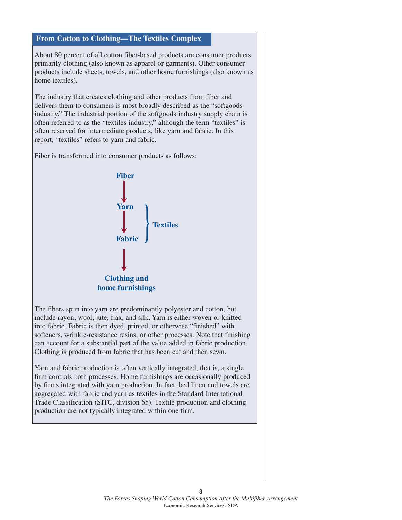#### **From Cotton to Clothing—The Textiles Complex**

About 80 percent of all cotton fiber-based products are consumer products, primarily clothing (also known as apparel or garments). Other consumer products include sheets, towels, and other home furnishings (also known as home textiles).

The industry that creates clothing and other products from fiber and delivers them to consumers is most broadly described as the "softgoods industry." The industrial portion of the softgoods industry supply chain is often referred to as the "textiles industry," although the term "textiles" is often reserved for intermediate products, like yarn and fabric. In this report, "textiles" refers to yarn and fabric.

Fiber is transformed into consumer products as follows:



The fibers spun into yarn are predominantly polyester and cotton, but include rayon, wool, jute, flax, and silk. Yarn is either woven or knitted into fabric. Fabric is then dyed, printed, or otherwise "finished" with softeners, wrinkle-resistance resins, or other processes. Note that finishing can account for a substantial part of the value added in fabric production. Clothing is produced from fabric that has been cut and then sewn.

Yarn and fabric production is often vertically integrated, that is, a single firm controls both processes. Home furnishings are occasionally produced by firms integrated with yarn production. In fact, bed linen and towels are aggregated with fabric and yarn as textiles in the Standard International Trade Classification (SITC, division 65). Textile production and clothing production are not typically integrated within one firm.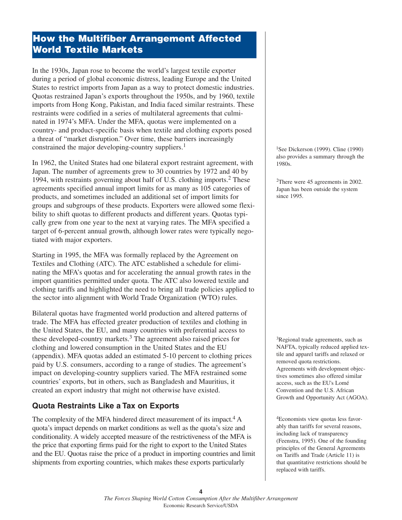# **How the Multifiber Arrangement Affected World Textile Markets**

In the 1930s, Japan rose to become the world's largest textile exporter during a period of global economic distress, leading Europe and the United States to restrict imports from Japan as a way to protect domestic industries. Quotas restrained Japan's exports throughout the 1950s, and by 1960, textile imports from Hong Kong, Pakistan, and India faced similar restraints. These restraints were codified in a series of multilateral agreements that culminated in 1974's MFA. Under the MFA, quotas were implemented on a country- and product-specific basis when textile and clothing exports posed a threat of "market disruption." Over time, these barriers increasingly constrained the major developing-country suppliers.<sup>1</sup>

In 1962, the United States had one bilateral export restraint agreement, with Japan. The number of agreements grew to 30 countries by 1972 and 40 by 1994, with restraints governing about half of U.S. clothing imports.<sup>2</sup> These agreements specified annual import limits for as many as 105 categories of products, and sometimes included an additional set of import limits for groups and subgroups of these products. Exporters were allowed some flexibility to shift quotas to different products and different years. Quotas typically grew from one year to the next at varying rates. The MFA specified a target of 6-percent annual growth, although lower rates were typically negotiated with major exporters.

Starting in 1995, the MFA was formally replaced by the Agreement on Textiles and Clothing (ATC). The ATC established a schedule for eliminating the MFA's quotas and for accelerating the annual growth rates in the import quantities permitted under quota. The ATC also lowered textile and clothing tariffs and highlighted the need to bring all trade policies applied to the sector into alignment with World Trade Organization (WTO) rules.

Bilateral quotas have fragmented world production and altered patterns of trade. The MFA has effected greater production of textiles and clothing in the United States, the EU, and many countries with preferential access to these developed-country markets. $3$  The agreement also raised prices for clothing and lowered consumption in the United States and the EU (appendix). MFA quotas added an estimated 5-10 percent to clothing prices paid by U.S. consumers, according to a range of studies. The agreement's impact on developing-country suppliers varied. The MFA restrained some countries' exports, but in others, such as Bangladesh and Mauritius, it created an export industry that might not otherwise have existed.

# **Quota Restraints Like a Tax on Exports**

The complexity of the MFA hindered direct measurement of its impact.<sup>4</sup> A quota's impact depends on market conditions as well as the quota's size and conditionality. A widely accepted measure of the restrictiveness of the MFA is the price that exporting firms paid for the right to export to the United States and the EU. Quotas raise the price of a product in importing countries and limit shipments from exporting countries, which makes these exports particularly

<sup>1</sup>See Dickerson (1999). Cline (1990) also provides a summary through the 1980s.

2There were 45 agreements in 2002. Japan has been outside the system since 1995.

3Regional trade agreements, such as NAFTA, typically reduced applied textile and apparel tariffs and relaxed or removed quota restrictions. Agreements with development objectives sometimes also offered similar access, such as the EU's Lomé Convention and the U.S. African Growth and Opportunity Act (AGOA).

4Economists view quotas less favorably than tariffs for several reasons, including lack of transparency (Feenstra, 1995). One of the founding principles of the General Agreements on Tariffs and Trade (Article 11) is that quantitative restrictions should be replaced with tariffs.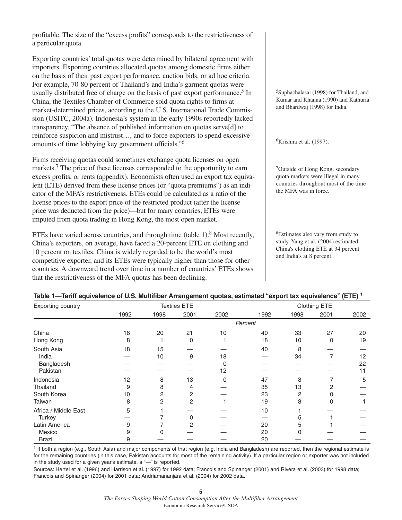profitable. The size of the "excess profits" corresponds to the restrictiveness of a particular quota.

Exporting countries' total quotas were determined by bilateral agreement with importers. Exporting countries allocated quotas among domestic firms either on the basis of their past export performance, auction bids, or ad hoc criteria. For example, 70-80 percent of Thailand's and India's garment quotas were usually distributed free of charge on the basis of past export performance.<sup>5</sup> In China, the Textiles Chamber of Commerce sold quota rights to firms at market-determined prices, according to the U.S. International Trade Commission (USITC, 2004a). Indonesia's system in the early 1990s reportedly lacked transparency. "The absence of published information on quotas serve[d] to reinforce suspicion and mistrust…, and to force exporters to spend excessive amounts of time lobbying key government officials."6

Firms receiving quotas could sometimes exchange quota licenses on open markets.<sup>7</sup> The price of these licenses corresponded to the opportunity to earn excess profits, or rents (appendix). Economists often used an export tax equivalent (ETE) derived from these license prices (or "quota premiums") as an indicator of the MFA's restrictiveness. ETEs could be calculated as a ratio of the license prices to the export price of the restricted product (after the license price was deducted from the price)—but for many countries, ETEs were imputed from quota trading in Hong Kong, the most open market.

ETEs have varied across countries, and through time (table  $1$ ).<sup>8</sup> Most recently, China's exporters, on average, have faced a 20-percent ETE on clothing and 10 percent on textiles. China is widely regarded to be the world's most competitive exporter, and its ETEs were typically higher than those for other countries. A downward trend over time in a number of countries' ETEs shows that the restrictiveness of the MFA quotas has been declining.

5Suphachalasai (1998) for Thailand, and Kumar and Khanna (1990) and Kathuria and Bhardwaj (1998) for India.

 $6$ Krishna et al. (1997).

7Outside of Hong Kong, secondary quota markets were illegal in many countries throughout most of the time the MFA was in force.

8Estimates also vary from study to study. Yang et al. (2004) estimated China's clothing ETE at 34 percent and India's at 8 percent.

|                                   |                                                        | Table 1—Tariff equivalence of U.S. Multifiber Arrangement quotas, estimated "export tax equivalence" (ETE) $^{\rm 1}$ |
|-----------------------------------|--------------------------------------------------------|-----------------------------------------------------------------------------------------------------------------------|
| Experience and an interest of the | $T_{\text{eff}}$ and $\sim$ $\Gamma$ $\Gamma$ $\Gamma$ | $O(LH)$ $\sim$ $CTT$ $C$                                                                                              |

| Exporting country    |      |      | <b>Textiles ETE</b> |              |         |      | Clothing ETE |      |
|----------------------|------|------|---------------------|--------------|---------|------|--------------|------|
|                      | 1992 | 1998 | 2001                | 2002         | 1992    | 1998 | 2001         | 2002 |
|                      |      |      |                     |              | Percent |      |              |      |
| China                | 18   | 20   | 21                  | 10           | 40      | 33   | 27           | 20   |
| Hong Kong            | 8    |      | $\Omega$            |              | 18      | 10   | 0            | 19   |
| South Asia           | 18   | 15   |                     |              | 40      | 8    |              |      |
| India                |      | 10   | 9                   | 18           |         | 34   | 7            | 12   |
| Bangladesh           |      |      |                     | 0            |         |      |              | 22   |
| Pakistan             |      |      |                     | 12           |         |      |              | 11   |
| Indonesia            | 12   | 8    | 13                  | $\mathbf{0}$ | 47      | 8    |              | 5    |
| Thailand             | 9    | 8    | 4                   |              | 35      | 13   | 2            |      |
| South Korea          | 10   | 2    | 2                   |              | 23      | 2    |              |      |
| Taiwan               | 8    | 2    | 2                   |              | 19      | 8    | 0            |      |
| Africa / Middle East | 5    |      |                     |              | 10      |      |              |      |
| Turkey               |      |      | O                   |              |         | 5    |              |      |
| Latin America        | 9    |      | 2                   |              | 20      | 5    |              |      |
| Mexico               | 9    |      |                     |              | 20      |      |              |      |
| <b>Brazil</b>        | 9    |      |                     |              | 20      |      |              |      |

<sup>1</sup> If both a region (e.g., South Asia) and major components of that region (e.g. India and Bangladesh) are reported, then the regional estimate is for the remaining countries (in this case, Pakistan accounts for most of the remaining activity). If a particular region or exporter was not included in the study used for a given year's estimate, a "—" is reported.

Sources: Hertel et al. (1996) and Harrison et al. (1997) for 1992 data; Francois and Spinanger (2001) and Rivera et al. (2003) for 1998 data; Francois and Spinanger (2004) for 2001 data; Andriamananjara et al. (2004) for 2002 data.

**5**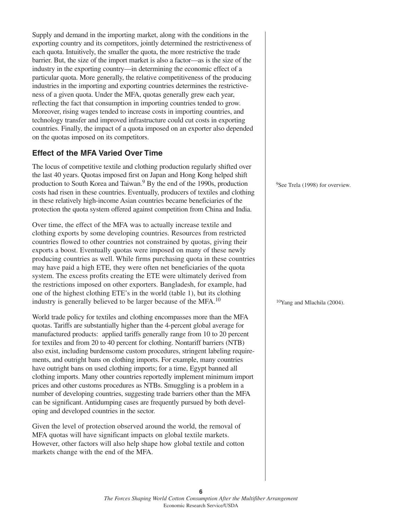Supply and demand in the importing market, along with the conditions in the exporting country and its competitors, jointly determined the restrictiveness of each quota. Intuitively, the smaller the quota, the more restrictive the trade barrier. But, the size of the import market is also a factor—as is the size of the industry in the exporting country—in determining the economic effect of a particular quota. More generally, the relative competitiveness of the producing industries in the importing and exporting countries determines the restrictiveness of a given quota. Under the MFA, quotas generally grew each year, reflecting the fact that consumption in importing countries tended to grow. Moreover, rising wages tended to increase costs in importing countries, and technology transfer and improved infrastructure could cut costs in exporting countries. Finally, the impact of a quota imposed on an exporter also depended on the quotas imposed on its competitors.

# **Effect of the MFA Varied Over Time**

The locus of competitive textile and clothing production regularly shifted over the last 40 years. Quotas imposed first on Japan and Hong Kong helped shift production to South Korea and Taiwan.<sup>9</sup> By the end of the 1990s, production costs had risen in these countries. Eventually, producers of textiles and clothing in these relatively high-income Asian countries became beneficiaries of the protection the quota system offered against competition from China and India.

Over time, the effect of the MFA was to actually increase textile and clothing exports by some developing countries. Resources from restricted countries flowed to other countries not constrained by quotas, giving their exports a boost. Eventually quotas were imposed on many of these newly producing countries as well. While firms purchasing quota in these countries may have paid a high ETE, they were often net beneficiaries of the quota system. The excess profits creating the ETE were ultimately derived from the restrictions imposed on other exporters. Bangladesh, for example, had one of the highest clothing ETE's in the world (table 1), but its clothing industry is generally believed to be larger because of the MFA.<sup>10</sup>

World trade policy for textiles and clothing encompasses more than the MFA quotas. Tariffs are substantially higher than the 4-percent global average for manufactured products: applied tariffs generally range from 10 to 20 percent for textiles and from 20 to 40 percent for clothing. Nontariff barriers (NTB) also exist, including burdensome custom procedures, stringent labeling requirements, and outright bans on clothing imports. For example, many countries have outright bans on used clothing imports; for a time, Egypt banned all clothing imports. Many other countries reportedly implement minimum import prices and other customs procedures as NTBs. Smuggling is a problem in a number of developing countries, suggesting trade barriers other than the MFA can be significant. Antidumping cases are frequently pursued by both developing and developed countries in the sector.

Given the level of protection observed around the world, the removal of MFA quotas will have significant impacts on global textile markets. However, other factors will also help shape how global textile and cotton markets change with the end of the MFA.

9See Trela (1998) for overview.

10Yang and Mlachila (2004).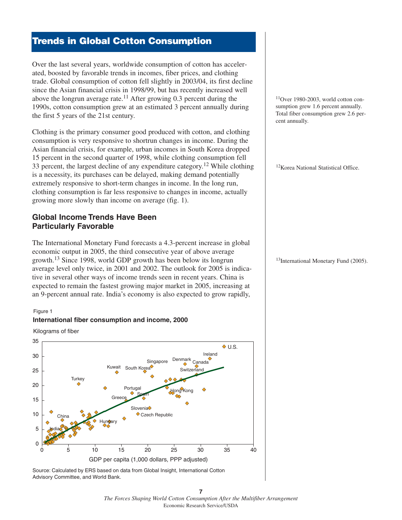# **Trends in Global Cotton Consumption**

Over the last several years, worldwide consumption of cotton has accelerated, boosted by favorable trends in incomes, fiber prices, and clothing trade. Global consumption of cotton fell slightly in 2003/04, its first decline since the Asian financial crisis in 1998/99, but has recently increased well above the longrun average rate.<sup>11</sup> After growing 0.3 percent during the 1990s, cotton consumption grew at an estimated 3 percent annually during the first 5 years of the 21st century.

Clothing is the primary consumer good produced with cotton, and clothing consumption is very responsive to shortrun changes in income. During the Asian financial crisis, for example, urban incomes in South Korea dropped 15 percent in the second quarter of 1998, while clothing consumption fell 33 percent, the largest decline of any expenditure category.12 While clothing is a necessity, its purchases can be delayed, making demand potentially extremely responsive to short-term changes in income. In the long run, clothing consumption is far less responsive to changes in income, actually growing more slowly than income on average (fig. 1).

### **Global Income Trends Have Been Particularly Favorable**

The International Monetary Fund forecasts a 4.3-percent increase in global economic output in 2005, the third consecutive year of above average growth.<sup>13</sup> Since 1998, world GDP growth has been below its longrun average level only twice, in 2001 and 2002. The outlook for 2005 is indicative in several other ways of income trends seen in recent years. China is expected to remain the fastest growing major market in 2005, increasing at an 9-percent annual rate. India's economy is also expected to grow rapidly,

#### Figure 1



**International fiber consumption and income, 2000**

Kilograms of fiber

Source: Calculated by ERS based on data from Global Insight, International Cotton Advisory Committee, and World Bank.

11Over 1980-2003, world cotton consumption grew 1.6 percent annually. Total fiber consumption grew 2.6 percent annually.

12Korea National Statistical Office.

<sup>13</sup>International Monetary Fund (2005).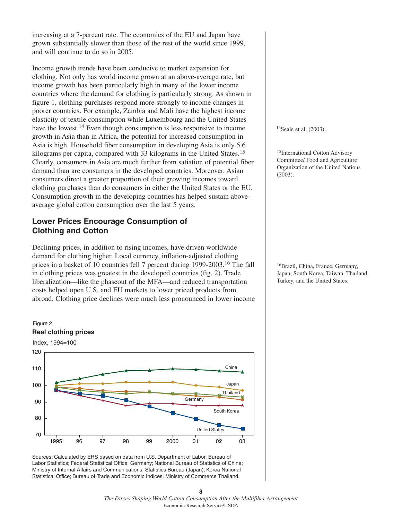increasing at a 7-percent rate. The economies of the EU and Japan have grown substantially slower than those of the rest of the world since 1999, and will continue to do so in 2005.

Income growth trends have been conducive to market expansion for clothing. Not only has world income grown at an above-average rate, but income growth has been particularly high in many of the lower income countries where the demand for clothing is particularly strong. As shown in figure 1, clothing purchases respond more strongly to income changes in poorer countries. For example, Zambia and Mali have the highest income elasticity of textile consumption while Luxembourg and the United States have the lowest.<sup>14</sup> Even though consumption is less responsive to income growth in Asia than in Africa, the potential for increased consumption in Asia is high. Household fiber consumption in developing Asia is only 5.6 kilograms per capita, compared with 33 kilograms in the United States.<sup>15</sup> Clearly, consumers in Asia are much further from satiation of potential fiber demand than are consumers in the developed countries. Moreover, Asian consumers direct a greater proportion of their growing incomes toward clothing purchases than do consumers in either the United States or the EU. Consumption growth in the developing countries has helped sustain aboveaverage global cotton consumption over the last 5 years.

### **Lower Prices Encourage Consumption of Clothing and Cotton**

Declining prices, in addition to rising incomes, have driven worldwide demand for clothing higher. Local currency, inflation-adjusted clothing prices in a basket of 10 countries fell 7 percent during 1999-2003.<sup>16</sup> The fall in clothing prices was greatest in the developed countries (fig. 2). Trade liberalization—like the phaseout of the MFA—and reduced transportation costs helped open U.S. and EU markets to lower priced products from abroad. Clothing price declines were much less pronounced in lower income



Sources: Calculated by ERS based on data from U.S. Department of Labor, Bureau of Labor Statistics; Federal Statistical Office, Germany; National Bureau of Statistics of China; Ministry of Internal Affairs and Communications, Statistics Bureau (Japan); Korea National Statistical Office; Bureau of Trade and Economic Indices, Ministry of Commerce Thailand.

<sup>14</sup>Seale et al. (2003).

15International Cotton Advisory Committee/ Food and Agriculture Organization of the United Nations (2003).

16Brazil, China, France, Germany, Japan, South Korea, Taiwan, Thailand, Turkey, and the United States.

**<sup>8</sup>** *The Forces Shaping World Cotton Consumption After the Multifiber Arrangement* Economic Research Service/USDA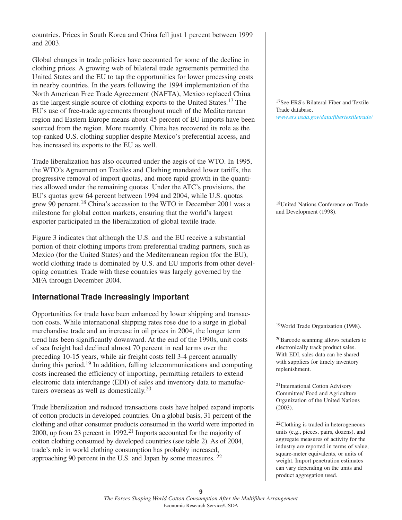countries. Prices in South Korea and China fell just 1 percent between 1999 and 2003.

Global changes in trade policies have accounted for some of the decline in clothing prices. A growing web of bilateral trade agreements permitted the United States and the EU to tap the opportunities for lower processing costs in nearby countries. In the years following the 1994 implementation of the North American Free Trade Agreeement (NAFTA), Mexico replaced China as the largest single source of clothing exports to the United States.<sup>17</sup> The EU's use of free-trade agreements throughout much of the Mediterranean region and Eastern Europe means about 45 percent of EU imports have been sourced from the region. More recently, China has recovered its role as the top-ranked U.S. clothing supplier despite Mexico's preferential access, and has increased its exports to the EU as well.

Trade liberalization has also occurred under the aegis of the WTO. In 1995, the WTO's Agreement on Textiles and Clothing mandated lower tariffs, the progressive removal of import quotas, and more rapid growth in the quantities allowed under the remaining quotas. Under the ATC's provisions, the EU's quotas grew 64 percent between 1994 and 2004, while U.S. quotas grew 90 percent.<sup>18</sup> China's accession to the WTO in December 2001 was a milestone for global cotton markets, ensuring that the world's largest exporter participated in the liberalization of global textile trade.

Figure 3 indicates that although the U.S. and the EU receive a substantial portion of their clothing imports from preferential trading partners, such as Mexico (for the United States) and the Mediterranean region (for the EU), world clothing trade is dominated by U.S. and EU imports from other developing countries. Trade with these countries was largely governed by the MFA through December 2004.

# **International Trade Increasingly Important**

Opportunities for trade have been enhanced by lower shipping and transaction costs. While international shipping rates rose due to a surge in global merchandise trade and an increase in oil prices in 2004, the longer term trend has been significantly downward. At the end of the 1990s, unit costs of sea freight had declined almost 70 percent in real terms over the preceding 10-15 years, while air freight costs fell 3-4 percent annually during this period.<sup>19</sup> In addition, falling telecommunications and computing costs increased the efficiency of importing, permitting retailers to extend electronic data interchange (EDI) of sales and inventory data to manufacturers overseas as well as domestically.<sup>20</sup>

Trade liberalization and reduced transactions costs have helped expand imports of cotton products in developed countries. On a global basis, 31 percent of the clothing and other consumer products consumed in the world were imported in 2000, up from 23 percent in 1992.<sup>21</sup> Imports accounted for the majority of cotton clothing consumed by developed countries (see table 2). As of 2004, trade's role in world clothing consumption has probably increased, approaching 90 percent in the U.S. and Japan by some measures. <sup>22</sup>

17See ERS's Bilateral Fiber and Textile Trade database, *[www.ers.usda.gov/data/fibertextiletrade/](http://www.ers.usda.gov/data/fibertextiletrade/)*

18United Nations Conference on Trade and Development (1998).

19World Trade Organization (1998).

20Barcode scanning allows retailers to electronically track product sales. With EDI, sales data can be shared with suppliers for timely inventory replenishment.

21International Cotton Advisory Committee/ Food and Agriculture Organization of the United Nations (2003).

22Clothing is traded in heterogeneous units (e.g., pieces, pairs, dozens), and aggregate measures of activity for the industry are reported in terms of value, square-meter equivalents, or units of weight. Import penetration estimates can vary depending on the units and product aggregation used.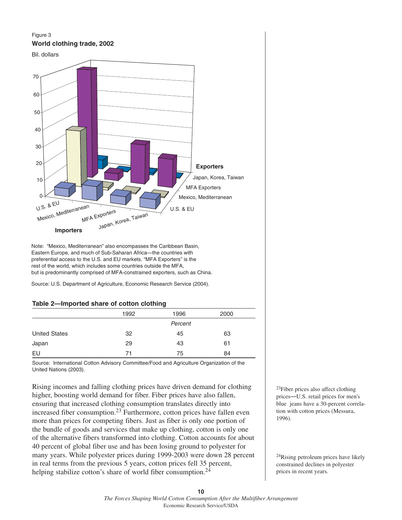#### Figure 3 **World clothing trade, 2002**





Note: "Mexico, Mediterranean" also encompasses the Caribbean Basin, Eastern Europe, and much of Sub-Saharan Africa—the countries with preferential access to the U.S. and EU markets. "MFA Exporters" is the rest of the world, which includes some countries outside the MFA, but is predominantly comprised of MFA-constrained exporters, such as China.

Source: U.S. Department of Agriculture, Economic Research Service (2004).

#### **Table 2—Imported share of cotton clothing**

|                      | 1992 | 1996    | 2000 |
|----------------------|------|---------|------|
|                      |      | Percent |      |
| <b>United States</b> | 32   | 45      | 63   |
| Japan                | 29   | 43      | 61   |
| EU                   | 71   | 75      | 84   |

Source: International Cotton Advisory Committee/Food and Agriculture Organization of the United Nations (2003).

Rising incomes and falling clothing prices have driven demand for clothing higher, boosting world demand for fiber. Fiber prices have also fallen, ensuring that increased clothing consumption translates directly into increased fiber consumption.<sup>23</sup> Furthermore, cotton prices have fallen even more than prices for competing fibers. Just as fiber is only one portion of the bundle of goods and services that make up clothing, cotton is only one of the alternative fibers transformed into clothing. Cotton accounts for about 40 percent of global fiber use and has been losing ground to polyester for many years. While polyester prices during 1999-2003 were down 28 percent in real terms from the previous 5 years, cotton prices fell 35 percent, helping stabilize cotton's share of world fiber consumption.<sup>24</sup>

23Fiber prices also affect clothing prices—U.S. retail prices for men's blue jeans have a 30-percent correlation with cotton prices (Messura, 1996).

24Rising petroleum prices have likely constrained declines in polyester prices in recent years.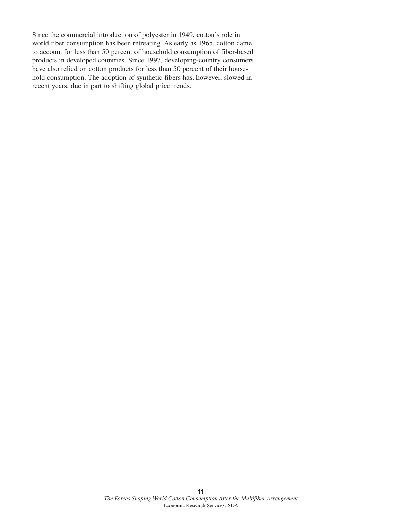Since the commercial introduction of polyester in 1949, cotton's role in world fiber consumption has been retreating. As early as 1965, cotton came to account for less than 50 percent of household consumption of fiber-based products in developed countries. Since 1997, developing-country consumers have also relied on cotton products for less than 50 percent of their household consumption. The adoption of synthetic fibers has, however, slowed in recent years, due in part to shifting global price trends.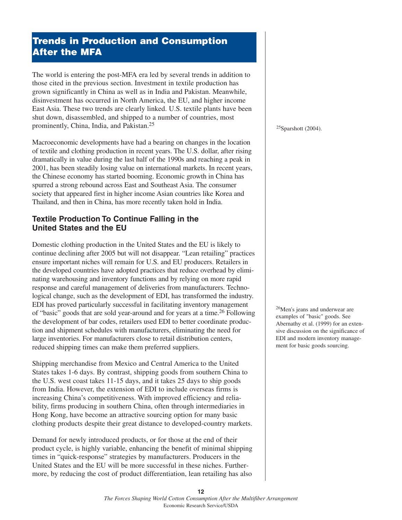# **Trends in Production and Consumption After the MFA**

The world is entering the post-MFA era led by several trends in addition to those cited in the previous section. Investment in textile production has grown significantly in China as well as in India and Pakistan. Meanwhile, disinvestment has occurred in North America, the EU, and higher income East Asia. These two trends are clearly linked. U.S. textile plants have been shut down, disassembled, and shipped to a number of countries, most prominently, China, India, and Pakistan.<sup>25</sup>

Macroeconomic developments have had a bearing on changes in the location of textile and clothing production in recent years. The U.S. dollar, after rising dramatically in value during the last half of the 1990s and reaching a peak in 2001, has been steadily losing value on international markets. In recent years, the Chinese economy has started booming. Economic growth in China has spurred a strong rebound across East and Southeast Asia. The consumer society that appeared first in higher income Asian countries like Korea and Thailand, and then in China, has more recently taken hold in India.

# **Textile Production To Continue Falling in the United States and the EU**

Domestic clothing production in the United States and the EU is likely to continue declining after 2005 but will not disappear. "Lean retailing" practices ensure important niches will remain for U.S. and EU producers. Retailers in the developed countries have adopted practices that reduce overhead by eliminating warehousing and inventory functions and by relying on more rapid response and careful management of deliveries from manufacturers. Technological change, such as the development of EDI, has transformed the industry. EDI has proved particularly successful in facilitating inventory management of "basic" goods that are sold year-around and for years at a time.<sup>26</sup> Following the development of bar codes, retailers used EDI to better coordinate production and shipment schedules with manufacturers, eliminating the need for large inventories. For manufacturers close to retail distribution centers, reduced shipping times can make them preferred suppliers.

Shipping merchandise from Mexico and Central America to the United States takes 1-6 days. By contrast, shipping goods from southern China to the U.S. west coast takes 11-15 days, and it takes 25 days to ship goods from India. However, the extension of EDI to include overseas firms is increasing China's competitiveness. With improved efficiency and reliability, firms producing in southern China, often through intermediaries in Hong Kong, have become an attractive sourcing option for many basic clothing products despite their great distance to developed-country markets.

Demand for newly introduced products, or for those at the end of their product cycle, is highly variable, enhancing the benefit of minimal shipping times in "quick-response" strategies by manufacturers. Producers in the United States and the EU will be more successful in these niches. Furthermore, by reducing the cost of product differentiation, lean retailing has also

 $25$ Sparshott (2004).

26Men's jeans and underwear are examples of "basic" goods. See Abernathy et al. (1999) for an extensive discussion on the significance of EDI and modern inventory management for basic goods sourcing.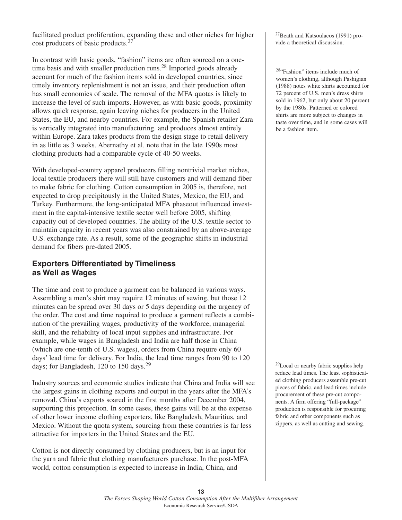facilitated product proliferation, expanding these and other niches for higher cost producers of basic products.<sup>27</sup>

In contrast with basic goods, "fashion" items are often sourced on a onetime basis and with smaller production runs.<sup>28</sup> Imported goods already account for much of the fashion items sold in developed countries, since timely inventory replenishment is not an issue, and their production often has small economies of scale. The removal of the MFA quotas is likely to increase the level of such imports. However, as with basic goods, proximity allows quick response, again leaving niches for producers in the United States, the EU, and nearby countries. For example, the Spanish retailer Zara is vertically integrated into manufacturing. and produces almost entirely within Europe. Zara takes products from the design stage to retail delivery in as little as 3 weeks. Abernathy et al. note that in the late 1990s most clothing products had a comparable cycle of 40-50 weeks.

With developed-country apparel producers filling nontrivial market niches, local textile producers there will still have customers and will demand fiber to make fabric for clothing. Cotton consumption in 2005 is, therefore, not expected to drop precipitously in the United States, Mexico, the EU, and Turkey. Furthermore, the long-anticipated MFA phaseout influenced investment in the capital-intensive textile sector well before 2005, shifting capacity out of developed countries. The ability of the U.S. textile sector to maintain capacity in recent years was also constrained by an above-average U.S. exchange rate. As a result, some of the geographic shifts in industrial demand for fibers pre-dated 2005.

# **Exporters Differentiated by Timeliness as Well as Wages**

The time and cost to produce a garment can be balanced in various ways. Assembling a men's shirt may require 12 minutes of sewing, but those 12 minutes can be spread over 30 days or 5 days depending on the urgency of the order. The cost and time required to produce a garment reflects a combination of the prevailing wages, productivity of the workforce, managerial skill, and the reliability of local input supplies and infrastructure. For example, while wages in Bangladesh and India are half those in China (which are one-tenth of U.S. wages), orders from China require only 60 days' lead time for delivery. For India, the lead time ranges from 90 to 120 days; for Bangladesh, 120 to 150 days.<sup>29</sup>

Industry sources and economic studies indicate that China and India will see the largest gains in clothing exports and output in the years after the MFA's removal. China's exports soared in the first months after December 2004, supporting this projection. In some cases, these gains will be at the expense of other lower income clothing exporters, like Bangladesh, Mauritius, and Mexico. Without the quota system, sourcing from these countries is far less attractive for importers in the United States and the EU.

Cotton is not directly consumed by clothing producers, but is an input for the yarn and fabric that clothing manufacturers purchase. In the post-MFA world, cotton consumption is expected to increase in India, China, and

27Beath and Katsoulacos (1991) provide a theoretical discussion.

28"Fashion" items include much of women's clothing, although Pashigian (1988) notes white shirts accounted for 72 percent of U.S. men's dress shirts sold in 1962, but only about 20 percent by the 1980s. Patterned or colored shirts are more subject to changes in taste over time, and in some cases will be a fashion item.

29Local or nearby fabric supplies help reduce lead times. The least sophisticated clothing producers assemble pre-cut pieces of fabric, and lead times include procurement of these pre-cut components. A firm offering "full-package" production is responsible for procuring fabric and other components such as zippers, as well as cutting and sewing.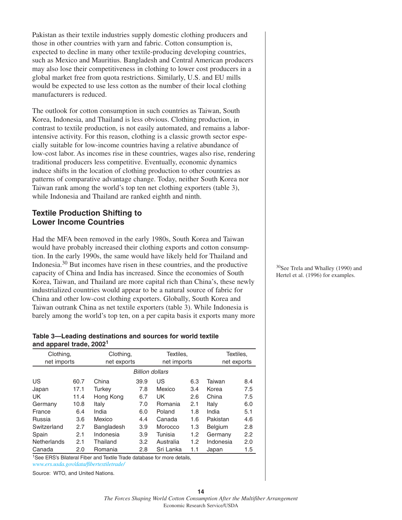Pakistan as their textile industries supply domestic clothing producers and those in other countries with yarn and fabric. Cotton consumption is, expected to decline in many other textile-producing developing countries, such as Mexico and Mauritius. Bangladesh and Central American producers may also lose their competitiveness in clothing to lower cost producers in a global market free from quota restrictions. Similarly, U.S. and EU mills would be expected to use less cotton as the number of their local clothing manufacturers is reduced.

The outlook for cotton consumption in such countries as Taiwan, South Korea, Indonesia, and Thailand is less obvious. Clothing production, in contrast to textile production, is not easily automated, and remains a laborintensive activity. For this reason, clothing is a classic growth sector especially suitable for low-income countries having a relative abundance of low-cost labor. As incomes rise in these countries, wages also rise, rendering traditional producers less competitive. Eventually, economic dynamics induce shifts in the location of clothing production to other countries as patterns of comparative advantage change. Today, neither South Korea nor Taiwan rank among the world's top ten net clothing exporters (table 3), while Indonesia and Thailand are ranked eighth and ninth.

### **Textile Production Shifting to Lower Income Countries**

Had the MFA been removed in the early 1980s, South Korea and Taiwan would have probably increased their clothing exports and cotton consumption. In the early 1990s, the same would have likely held for Thailand and Indonesia.<sup>30</sup> But incomes have risen in these countries, and the productive capacity of China and India has increased. Since the economies of South Korea, Taiwan, and Thailand are more capital rich than China's, these newly industrialized countries would appear to be a natural source of fabric for China and other low-cost clothing exporters. Globally, South Korea and Taiwan outrank China as net textile exporters (table 3). While Indonesia is barely among the world's top ten, on a per capita basis it exports many more

#### **Table 3—Leading destinations and sources for world textile and apparel trade, 20021**

| Clothing,   |      |             | Clothing,<br>Textiles, |             |     |                | Textiles, |  |
|-------------|------|-------------|------------------------|-------------|-----|----------------|-----------|--|
| net imports |      | net exports |                        | net imports |     | net exports    |           |  |
|             |      |             | <b>Billion dollars</b> |             |     |                |           |  |
| US          | 60.7 | China       | 39.9                   | US          | 6.3 | Taiwan         | 8.4       |  |
| Japan       | 17.1 | Turkey      | 7.8                    | Mexico      | 3.4 | Korea          | 7.5       |  |
| UK.         | 11.4 | Hong Kong   | 6.7                    | UK          | 2.6 | China          | 7.5       |  |
| Germany     | 10.8 | Italy       | 7.0                    | Romania     | 2.1 | Italy          | 6.0       |  |
| France      | 6.4  | India       | 6.0                    | Poland      | 1.8 | India          | 5.1       |  |
| Russia      | 3.6  | Mexico      | 4.4                    | Canada      | 1.6 | Pakistan       | 4.6       |  |
| Switzerland | 2.7  | Bangladesh  | 3.9                    | Morocco     | 1.3 | <b>Belgium</b> | 2.8       |  |
| Spain       | 2.1  | Indonesia   | 3.9                    | Tunisia     | 1.2 | Germany        | 2.2       |  |
| Netherlands | 2.1  | Thailand    | 3.2 <sub>2</sub>       | Australia   | 1.2 | Indonesia      | 2.0       |  |
| Canada      | 2.0  | Romania     | 2.8                    | Sri Lanka   | 1.1 | Japan          | 1.5       |  |

1See ERS's Bilateral Fiber and Textile Trade database for more details, *[www.ers.usda.gov/data/fibertextiletrade/](http://www.ers.usda.gov/data/fibertextiletrade/)*

Source: WTO, and United Nations.

30See Trela and Whalley (1990) and Hertel et al. (1996) for examples.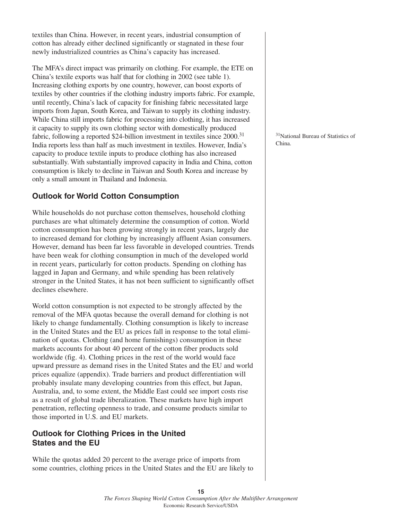textiles than China. However, in recent years, industrial consumption of cotton has already either declined significantly or stagnated in these four newly industrialized countries as China's capacity has increased.

The MFA's direct impact was primarily on clothing. For example, the ETE on China's textile exports was half that for clothing in 2002 (see table 1). Increasing clothing exports by one country, however, can boost exports of textiles by other countries if the clothing industry imports fabric. For example, until recently, China's lack of capacity for finishing fabric necessitated large imports from Japan, South Korea, and Taiwan to supply its clothing industry. While China still imports fabric for processing into clothing, it has increased it capacity to supply its own clothing sector with domestically produced fabric, following a reported \$24-billion investment in textiles since 2000.<sup>31</sup> India reports less than half as much investment in textiles. However, India's capacity to produce textile inputs to produce clothing has also increased substantially. With substantially improved capacity in India and China, cotton consumption is likely to decline in Taiwan and South Korea and increase by only a small amount in Thailand and Indonesia.

# **Outlook for World Cotton Consumption**

While households do not purchase cotton themselves, household clothing purchases are what ultimately determine the consumption of cotton. World cotton consumption has been growing strongly in recent years, largely due to increased demand for clothing by increasingly affluent Asian consumers. However, demand has been far less favorable in developed countries. Trends have been weak for clothing consumption in much of the developed world in recent years, particularly for cotton products. Spending on clothing has lagged in Japan and Germany, and while spending has been relatively stronger in the United States, it has not been sufficient to significantly offset declines elsewhere.

World cotton consumption is not expected to be strongly affected by the removal of the MFA quotas because the overall demand for clothing is not likely to change fundamentally. Clothing consumption is likely to increase in the United States and the EU as prices fall in response to the total elimination of quotas. Clothing (and home furnishings) consumption in these markets accounts for about 40 percent of the cotton fiber products sold worldwide (fig. 4). Clothing prices in the rest of the world would face upward pressure as demand rises in the United States and the EU and world prices equalize (appendix). Trade barriers and product differentiation will probably insulate many developing countries from this effect, but Japan, Australia, and, to some extent, the Middle East could see import costs rise as a result of global trade liberalization. These markets have high import penetration, reflecting openness to trade, and consume products similar to those imported in U.S. and EU markets.

# **Outlook for Clothing Prices in the United States and the EU**

While the quotas added 20 percent to the average price of imports from some countries, clothing prices in the United States and the EU are likely to

31National Bureau of Statistics of China.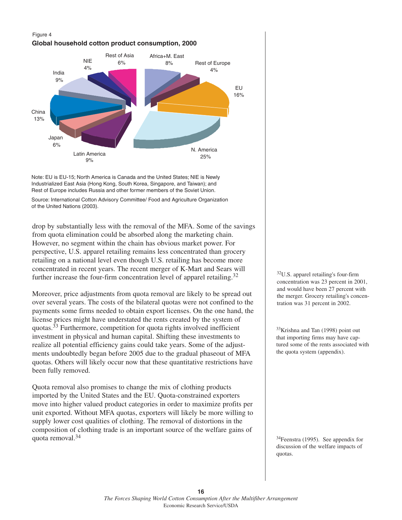### Figure 4 **Global household cotton product consumption, 2000**



Note: EU is EU-15; North America is Canada and the United States; NIE is Newly Industrialized East Asia (Hong Kong, South Korea, Singapore, and Taiwan); and Rest of Europe includes Russia and other former members of the Soviet Union.

Source: International Cotton Advisory Committee/ Food and Agriculture Organization of the United Nations (2003).

drop by substantially less with the removal of the MFA. Some of the savings from quota elimination could be absorbed along the marketing chain. However, no segment within the chain has obvious market power. For perspective, U.S. apparel retailing remains less concentrated than grocery retailing on a national level even though U.S. retailing has become more concentrated in recent years. The recent merger of K-Mart and Sears will further increase the four-firm concentration level of apparel retailing.<sup>32</sup>

Moreover, price adjustments from quota removal are likely to be spread out over several years. The costs of the bilateral quotas were not confined to the payments some firms needed to obtain export licenses. On the one hand, the license prices might have understated the rents created by the system of quotas.<sup>33</sup> Furthermore, competition for quota rights involved inefficient investment in physical and human capital. Shifting these investments to realize all potential efficiency gains could take years. Some of the adjustments undoubtedly began before 2005 due to the gradual phaseout of MFA quotas. Others will likely occur now that these quantitative restrictions have been fully removed.

Quota removal also promises to change the mix of clothing products imported by the United States and the EU. Quota-constrained exporters move into higher valued product categories in order to maximize profits per unit exported. Without MFA quotas, exporters will likely be more willing to supply lower cost qualities of clothing. The removal of distortions in the composition of clothing trade is an important source of the welfare gains of quota removal.34

32U.S. apparel retailing's four-firm concentration was 23 percent in 2001, and would have been 27 percent with the merger. Grocery retailing's concentration was 31 percent in 2002.

 $33$ Krishna and Tan (1998) point out that importing firms may have captured some of the rents associated with the quota system (appendix).

34Feenstra (1995). See appendix for discussion of the welfare impacts of quotas.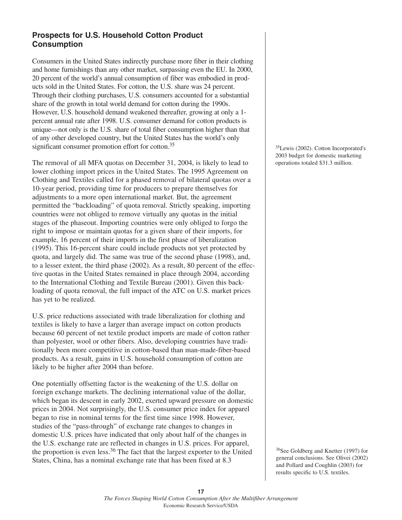# **Prospects for U.S. Household Cotton Product Consumption**

Consumers in the United States indirectly purchase more fiber in their clothing and home furnishings than any other market, surpassing even the EU. In 2000, 20 percent of the world's annual consumption of fiber was embodied in products sold in the United States. For cotton, the U.S. share was 24 percent. Through their clothing purchases, U.S. consumers accounted for a substantial share of the growth in total world demand for cotton during the 1990s. However, U.S. household demand weakened thereafter, growing at only a 1 percent annual rate after 1998. U.S. consumer demand for cotton products is unique—not only is the U.S. share of total fiber consumption higher than that of any other developed country, but the United States has the world's only significant consumer promotion effort for cotton.<sup>35</sup>

The removal of all MFA quotas on December 31, 2004, is likely to lead to lower clothing import prices in the United States. The 1995 Agreement on Clothing and Textiles called for a phased removal of bilateral quotas over a 10-year period, providing time for producers to prepare themselves for adjustments to a more open international market. But, the agreement permitted the "backloading" of quota removal. Strictly speaking, importing countries were not obliged to remove virtually any quotas in the initial stages of the phaseout. Importing countries were only obliged to forgo the right to impose or maintain quotas for a given share of their imports, for example, 16 percent of their imports in the first phase of liberalization (1995). This 16-percent share could include products not yet protected by quota, and largely did. The same was true of the second phase (1998), and, to a lesser extent, the third phase (2002). As a result, 80 percent of the effective quotas in the United States remained in place through 2004, according to the International Clothing and Textile Bureau (2001). Given this backloading of quota removal, the full impact of the ATC on U.S. market prices has yet to be realized.

U.S. price reductions associated with trade liberalization for clothing and textiles is likely to have a larger than average impact on cotton products because 60 percent of net textile product imports are made of cotton rather than polyester, wool or other fibers. Also, developing countries have traditionally been more competitive in cotton-based than man-made-fiber-based products. As a result, gains in U.S. household consumption of cotton are likely to be higher after 2004 than before.

One potentially offsetting factor is the weakening of the U.S. dollar on foreign exchange markets. The declining international value of the dollar, which began its descent in early 2002, exerted upward pressure on domestic prices in 2004. Not surprisingly, the U.S. consumer price index for apparel began to rise in nominal terms for the first time since 1998. However, studies of the "pass-through" of exchange rate changes to changes in domestic U.S. prices have indicated that only about half of the changes in the U.S. exchange rate are reflected in changes in U.S. prices. For apparel, the proportion is even less.<sup>36</sup> The fact that the largest exporter to the United States, China, has a nominal exchange rate that has been fixed at 8.3

35Lewis (2002). Cotton Incorporated's 2003 budget for domestic marketing operations totaled \$31.3 million.

36See Goldberg and Knetter (1997) for general conclusions. See Olivei (2002) and Pollard and Coughlin (2003) for results specific to U.S. textiles.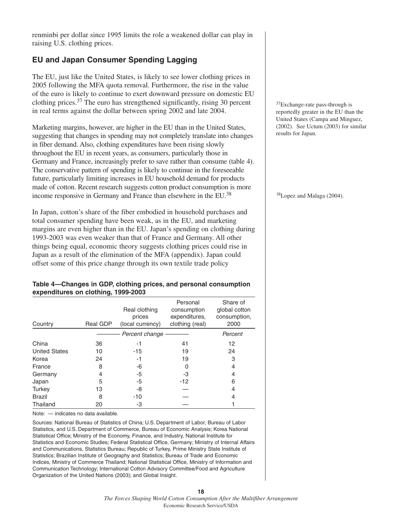renminbi per dollar since 1995 limits the role a weakened dollar can play in raising U.S. clothing prices.

# **EU and Japan Consumer Spending Lagging**

The EU, just like the United States, is likely to see lower clothing prices in 2005 following the MFA quota removal. Furthermore, the rise in the value of the euro is likely to continue to exert downward pressure on domestic EU clothing prices.  $37$  The euro has strengthened significantly, rising 30 percent in real terms against the dollar between spring 2002 and late 2004.

Marketing margins, however, are higher in the EU than in the United States, suggesting that changes in spending may not completely translate into changes in fiber demand. Also, clothing expenditures have been rising slowly throughout the EU in recent years, as consumers, particularly those in Germany and France, increasingly prefer to save rather than consume (table 4). The conservative pattern of spending is likely to continue in the foreseeable future, particularly limiting increases in EU household demand for products made of cotton. Recent research suggests cotton product consumption is more income responsive in Germany and France than elsewhere in the EU.38

In Japan, cotton's share of the fiber embodied in household purchases and total consumer spending have been weak, as in the EU, and marketing margins are even higher than in the EU. Japan's spending on clothing during 1993-2003 was even weaker than that of France and Germany. All other things being equal, economic theory suggests clothing prices could rise in Japan as a result of the elimination of the MFA (appendix). Japan could offset some of this price change through its own textile trade policy

#### **Table 4—Changes in GDP, clothing prices, and personal consumption expenditures on clothing, 1999-2003**

| Country              | Real GDP | Real clothing<br>prices<br>(local currency) | Personal<br>consumption<br>expenditures.<br>clothing (real) | Share of<br>global cotton<br>consumption,<br>2000 |
|----------------------|----------|---------------------------------------------|-------------------------------------------------------------|---------------------------------------------------|
|                      |          | Percent change                              |                                                             | Percent                                           |
| China                | 36       | -1                                          | 41                                                          | 12                                                |
| <b>United States</b> | 10       | $-15$                                       | 19                                                          | 24                                                |
| Korea                | 24       | -1                                          | 19                                                          | 3                                                 |
| France               | 8        | -6                                          |                                                             | 4                                                 |
| Germany              | 4        | -5                                          | -3                                                          | 4                                                 |
| Japan                | 5        | -5                                          | $-12$                                                       | 6                                                 |
| Turkey               | 13       | -8                                          |                                                             | 4                                                 |
| <b>Brazil</b>        | 8        | $-10$                                       |                                                             | 4                                                 |
| Thailand             | 20       | -3                                          |                                                             |                                                   |

Note: — indicates no data available.

Sources: National Bureau of Statistics of China; U.S. Department of Labor, Bureau of Labor Statistics, and U.S. Department of Commerce, Bureau of Economic Analysis; Korea National Statistical Office; Ministry of the Economy, Finance, and Industry, National Institute for Statistics and Economic Studies; Federal Statistical Office, Germany; Ministry of Internal Affairs and Communications, Statistics Bureau; Republic of Turkey, Prime Ministry State Institute of Statistics; Brazilian Institute of Geography and Statistics; Bureau of Trade and Economic Indices, Ministry of Commerce Thailand; National Statistical Office, Ministry of Information and Communication Technology; International Cotton Advisory Committee/Food and Agriculture Organization of the United Nations (2003); and Global Insight.

37Exchange-rate pass-through is reportedly greater in the EU than the United States (Campa and Minguez, (2002). See Uctum (2003) for similar results for Japan.

38Lopez and Malaga (2004).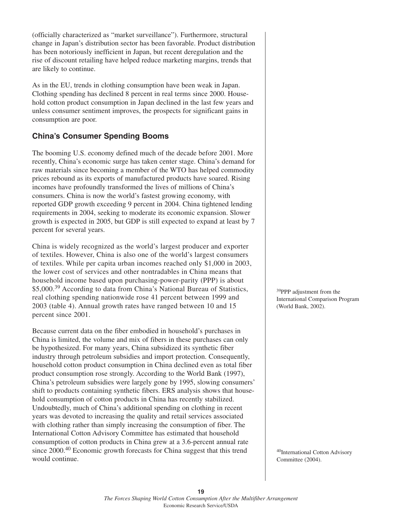(officially characterized as "market surveillance"). Furthermore, structural change in Japan's distribution sector has been favorable. Product distribution has been notoriously inefficient in Japan, but recent deregulation and the rise of discount retailing have helped reduce marketing margins, trends that are likely to continue.

As in the EU, trends in clothing consumption have been weak in Japan. Clothing spending has declined 8 percent in real terms since 2000. Household cotton product consumption in Japan declined in the last few years and unless consumer sentiment improves, the prospects for significant gains in consumption are poor.

# **China's Consumer Spending Booms**

The booming U.S. economy defined much of the decade before 2001. More recently, China's economic surge has taken center stage. China's demand for raw materials since becoming a member of the WTO has helped commodity prices rebound as its exports of manufactured products have soared. Rising incomes have profoundly transformed the lives of millions of China's consumers. China is now the world's fastest growing economy, with reported GDP growth exceeding 9 percent in 2004. China tightened lending requirements in 2004, seeking to moderate its economic expansion. Slower growth is expected in 2005, but GDP is still expected to expand at least by 7 percent for several years.

China is widely recognized as the world's largest producer and exporter of textiles. However, China is also one of the world's largest consumers of textiles. While per capita urban incomes reached only \$1,000 in 2003, the lower cost of services and other nontradables in China means that household income based upon purchasing-power-parity (PPP) is about \$5,000.<sup>39</sup> According to data from China's National Bureau of Statistics, real clothing spending nationwide rose 41 percent between 1999 and 2003 (table 4). Annual growth rates have ranged between 10 and 15 percent since 2001.

Because current data on the fiber embodied in household's purchases in China is limited, the volume and mix of fibers in these purchases can only be hypothesized. For many years, China subsidized its synthetic fiber industry through petroleum subsidies and import protection. Consequently, household cotton product consumption in China declined even as total fiber product consumption rose strongly. According to the World Bank (1997), China's petroleum subsidies were largely gone by 1995, slowing consumers' shift to products containing synthetic fibers. ERS analysis shows that household consumption of cotton products in China has recently stabilized. Undoubtedly, much of China's additional spending on clothing in recent years was devoted to increasing the quality and retail services associated with clothing rather than simply increasing the consumption of fiber. The International Cotton Advisory Committee has estimated that household consumption of cotton products in China grew at a 3.6-percent annual rate since 2000.<sup>40</sup> Economic growth forecasts for China suggest that this trend would continue.

39PPP adjustment from the International Comparison Program (World Bank, 2002).

40International Cotton Advisory Committee (2004).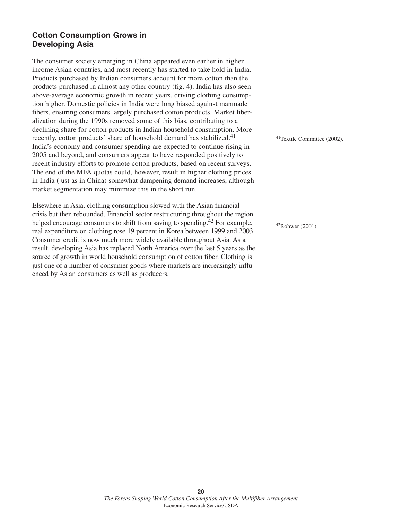# **Cotton Consumption Grows in Developing Asia**

The consumer society emerging in China appeared even earlier in higher income Asian countries, and most recently has started to take hold in India. Products purchased by Indian consumers account for more cotton than the products purchased in almost any other country (fig. 4). India has also seen above-average economic growth in recent years, driving clothing consumption higher. Domestic policies in India were long biased against manmade fibers, ensuring consumers largely purchased cotton products. Market liberalization during the 1990s removed some of this bias, contributing to a declining share for cotton products in Indian household consumption. More recently, cotton products' share of household demand has stabilized.<sup>41</sup> India's economy and consumer spending are expected to continue rising in 2005 and beyond, and consumers appear to have responded positively to recent industry efforts to promote cotton products, based on recent surveys. The end of the MFA quotas could, however, result in higher clothing prices in India (just as in China) somewhat dampening demand increases, although market segmentation may minimize this in the short run.

Elsewhere in Asia, clothing consumption slowed with the Asian financial crisis but then rebounded. Financial sector restructuring throughout the region helped encourage consumers to shift from saving to spending.<sup>42</sup> For example, real expenditure on clothing rose 19 percent in Korea between 1999 and 2003. Consumer credit is now much more widely available throughout Asia. As a result, developing Asia has replaced North America over the last 5 years as the source of growth in world household consumption of cotton fiber. Clothing is just one of a number of consumer goods where markets are increasingly influenced by Asian consumers as well as producers.

41Textile Committee (2002).

42Rohwer (2001).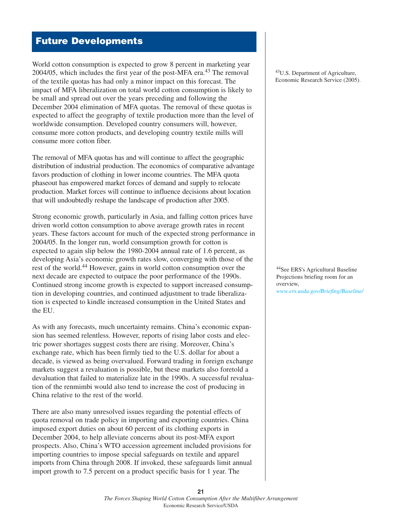# **Future Developments**

World cotton consumption is expected to grow 8 percent in marketing year 2004/05, which includes the first year of the post-MFA era.<sup>43</sup> The removal of the textile quotas has had only a minor impact on this forecast. The impact of MFA liberalization on total world cotton consumption is likely to be small and spread out over the years preceding and following the December 2004 elimination of MFA quotas. The removal of these quotas is expected to affect the geography of textile production more than the level of worldwide consumption. Developed country consumers will, however, consume more cotton products, and developing country textile mills will consume more cotton fiber.

The removal of MFA quotas has and will continue to affect the geographic distribution of industrial production. The economics of comparative advantage favors production of clothing in lower income countries. The MFA quota phaseout has empowered market forces of demand and supply to relocate production. Market forces will continue to influence decisions about location that will undoubtedly reshape the landscape of production after 2005.

Strong economic growth, particularly in Asia, and falling cotton prices have driven world cotton consumption to above average growth rates in recent years. These factors account for much of the expected strong performance in 2004/05. In the longer run, world consumption growth for cotton is expected to again slip below the 1980-2004 annual rate of 1.6 percent, as developing Asia's economic growth rates slow, converging with those of the rest of the world.<sup>44</sup> However, gains in world cotton consumption over the next decade are expected to outpace the poor performance of the 1990s. Continued strong income growth is expected to support increased consumption in developing countries, and continued adjustment to trade liberalization is expected to kindle increased consumption in the United States and the EU.

As with any forecasts, much uncertainty remains. China's economic expansion has seemed relentless. However, reports of rising labor costs and electric power shortages suggest costs there are rising. Moreover, China's exchange rate, which has been firmly tied to the U.S. dollar for about a decade, is viewed as being overvalued. Forward trading in foreign exchange markets suggest a revaluation is possible, but these markets also foretold a devaluation that failed to materialize late in the 1990s. A successful revaluation of the renmimbi would also tend to increase the cost of producing in China relative to the rest of the world.

There are also many unresolved issues regarding the potential effects of quota removal on trade policy in importing and exporting countries. China imposed export duties on about 60 percent of its clothing exports in December 2004, to help alleviate concerns about its post-MFA export prospects. Also, China's WTO accession agreement included provisions for importing countries to impose special safeguards on textile and apparel imports from China through 2008. If invoked, these safeguards limit annual import growth to 7.5 percent on a product specific basis for 1 year. The

43U.S. Department of Agriculture, Economic Research Service (2005).

44See ERS's Agricultural Baseline Projections briefing room for an overview, *[www.ers.usda.gov/Briefing/Baseline/](http://www.ers.usda.gov/briefing/baseline/)*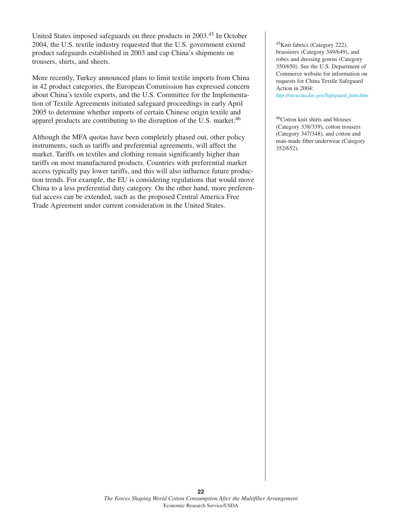United States imposed safeguards on three products in 2003.<sup>45</sup> In October 2004, the U.S. textile industry requested that the U.S. government extend product safeguards established in 2003 and cap China's shipments on trousers, shirts, and sheets.

More recently, Turkey announced plans to limit textile imports from China in 42 product categories, the European Commission has expressed concern about China's textile exports, and the U.S. Committee for the Implementation of Textile Agreements initiated safeguard proceedings in early April 2005 to determine whether imports of certain Chinese origin textile and apparel products are contributing to the disruption of the U.S. market.<sup>46</sup>

Although the MFA quotas have been completely phased out, other policy instruments, such as tariffs and preferential agreements, will affect the market. Tariffs on textiles and clothing remain significantly higher than tariffs on most manufactured products. Countries with preferential market access typically pay lower tariffs, and this will also influence future production trends. For example, the EU is considering regulations that would move China to a less preferential duty category. On the other hand, more preferential access can be extended, such as the proposed Central America Free Trade Agreement under current consideration in the United States.

45Knit fabrics (Category 222), brassieres (Category 349/649), and robes and dressing gowns (Category 350/650). See the U.S. Department of Commerce website for information on requests for China Textile Safeguard Action in 2004:

*[http://otexa.ita.doc.gov/Safeguard\\_intro.htm](http://otexa.ita.doc.gov/Safeguard_intro.htm)*

46Cotton knit shirts and blouses (Category 338/339), cotton trousers (Category 347/348), and cotton and man-made fiber underwear (Category 352/652).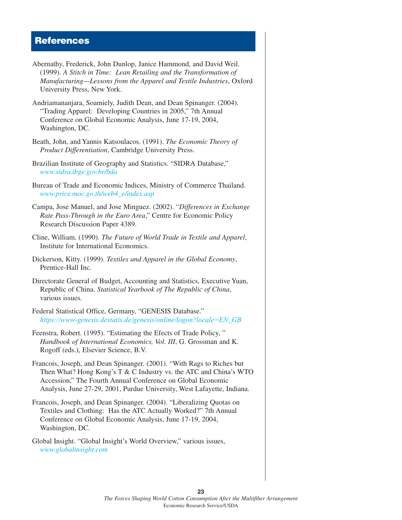# **References**

| Abernathy, Frederick, John Dunlop, Janice Hammond, and David Weil.<br>(1999). A Stitch in Time: Lean Retailing and the Transformation of<br>Manufacturing-Lessons from the Apparel and Textile Industries, Oxford<br>University Press, New York.                                      |
|---------------------------------------------------------------------------------------------------------------------------------------------------------------------------------------------------------------------------------------------------------------------------------------|
| Andriamananjara, Soamiely, Judith Dean, and Dean Spinanger. (2004).<br>"Trading Apparel: Developing Countries in 2005," 7th Annual<br>Conference on Global Economic Analysis, June 17-19, 2004,<br>Washington, DC.                                                                    |
| Beath, John, and Yannis Katsoulacos. (1991). The Economic Theory of<br>Product Differentiation, Cambridge University Press.                                                                                                                                                           |
| Brazilian Institute of Geography and Statistics. "SIDRA Database,"<br>www.sidra.ibge.gov.br/bda                                                                                                                                                                                       |
| Bureau of Trade and Economic Indices, Ministry of Commerce Thailand.<br>www.price.moc.go.th/web4_e/index.asp                                                                                                                                                                          |
| Campa, Jose Manuel, and Jose Minguez. (2002). "Differences in Exchange<br>Rate Pass-Through in the Euro Area," Centre for Economic Policy<br>Research Discussion Paper 4389.                                                                                                          |
| Cline, William. (1990). The Future of World Trade in Textile and Apparel,<br>Institute for International Economics.                                                                                                                                                                   |
| Dickerson, Kitty. (1999). Textiles and Apparel in the Global Economy,<br>Prentice-Hall Inc.                                                                                                                                                                                           |
| Directorate General of Budget, Accounting and Statistics, Executive Yuan,<br>Republic of China. Statistical Yearbook of The Republic of China,<br>various issues.                                                                                                                     |
| Federal Statistical Office, Germany, "GENESIS Database."<br>https://www-genesis.destatis.de/genesis/online/logon?locale=EN_GB                                                                                                                                                         |
| Feenstra, Robert. (1995). "Estimating the Efects of Trade Policy,"<br>Handbook of International Economics, Vol. III, G. Grossman and K.<br>Rogoff (eds.), Elsevier Science, B.V.                                                                                                      |
| Francois, Joseph, and Dean Spinanger. (2001). "With Rags to Riches but<br>Then What? Hong Kong's T & C Industry vs. the ATC and China's WTO<br>Accession," The Fourth Annual Conference on Global Economic<br>Analysis, June 27-29, 2001, Purdue University, West Lafayette, Indiana. |
| Francois, Joseph, and Dean Spinanger. (2004). "Liberalizing Quotas on<br>Textiles and Clothing: Has the ATC Actually Worked?" 7th Annual<br>Conference on Global Economic Analysis, June 17-19, 2004,<br>Washington, DC.                                                              |
| Global Insight. "Global Insight's World Overview," various issues,                                                                                                                                                                                                                    |

*<www.globalinsight.com>*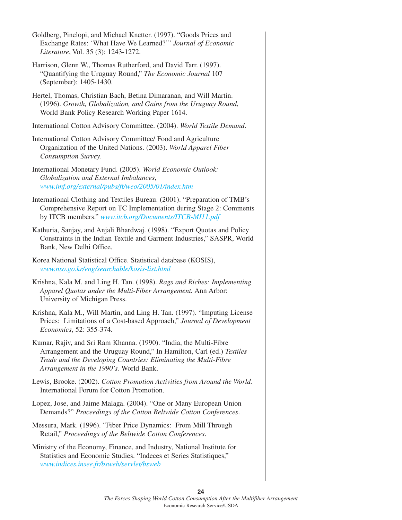| Goldberg, Pinelopi, and Michael Knetter. (1997). "Goods Prices and<br>Exchange Rates: 'What Have We Learned?'" Journal of Economic<br>Literature, Vol. 35 (3): 1243-1272.                                                                              |
|--------------------------------------------------------------------------------------------------------------------------------------------------------------------------------------------------------------------------------------------------------|
| Harrison, Glenn W., Thomas Rutherford, and David Tarr. (1997).<br>"Quantifying the Uruguay Round," The Economic Journal 107<br>(September): 1405-1430.                                                                                                 |
| Hertel, Thomas, Christian Bach, Betina Dimaranan, and Will Martin.<br>(1996). Growth, Globalization, and Gains from the Uruguay Round,<br>World Bank Policy Research Working Paper 1614.                                                               |
| International Cotton Advisory Committee. (2004). World Textile Demand.                                                                                                                                                                                 |
| International Cotton Advisory Committee/ Food and Agriculture<br>Organization of the United Nations. (2003). World Apparel Fiber<br>Consumption Survey.                                                                                                |
| International Monetary Fund. (2005). World Economic Outlook:<br>Globalization and External Imbalances,<br>www.imf.org/external/pubs/ft/weo/2005/01/index.htm                                                                                           |
| International Clothing and Textiles Bureau. (2001). "Preparation of TMB's<br>Comprehensive Report on TC Implementation during Stage 2: Comments<br>by ITCB members." www.itcb.org/Documents/ITCB-MI11.pdf                                              |
| Kathuria, Sanjay, and Anjali Bhardwaj. (1998). "Export Quotas and Policy<br>Constraints in the Indian Textile and Garment Industries," SASPR, World<br>Bank, New Delhi Office.                                                                         |
| Korea National Statistical Office. Statistical database (KOSIS),<br>www.nso.go.kr/eng/searchable/kosis-list.html                                                                                                                                       |
| Krishna, Kala M. and Ling H. Tan. (1998). Rags and Riches: Implementing<br>Apparel Quotas under the Multi-Fiber Arrangement. Ann Arbor:<br>University of Michigan Press.                                                                               |
| Krishna, Kala M., Will Martin, and Ling H. Tan. (1997). "Imputing License<br>Prices: Limitations of a Cost-based Approach," Journal of Development<br>Economics, 52: 355-374.                                                                          |
| Kumar, Rajiv, and Sri Ram Khanna. (1990). "India, the Multi-Fibre<br>Arrangement and the Uruguay Round," In Hamilton, Carl (ed.) Textiles<br>Trade and the Developing Countries: Eliminating the Multi-Fibre<br>Arrangement in the 1990's. World Bank. |
| Lewis, Brooke. (2002). Cotton Promotion Activities from Around the World.<br>International Forum for Cotton Promotion.                                                                                                                                 |
| Lopez, Jose, and Jaime Malaga. (2004). "One or Many European Union<br>Demands?" Proceedings of the Cotton Beltwide Cotton Conferences.                                                                                                                 |
| Messura, Mark. (1996). "Fiber Price Dynamics: From Mill Through<br>Retail," Proceedings of the Beltwide Cotton Conferences.                                                                                                                            |

Ministry of the Economy, Finance, and Industry, National Institute for Statistics and Economic Studies. "Indeces et Series Statistiques," *[www.indices.insee.fr/bsweb/servlet/bsweb](http://www.indices.insee.fr/bsweb/servlet/bsweb)*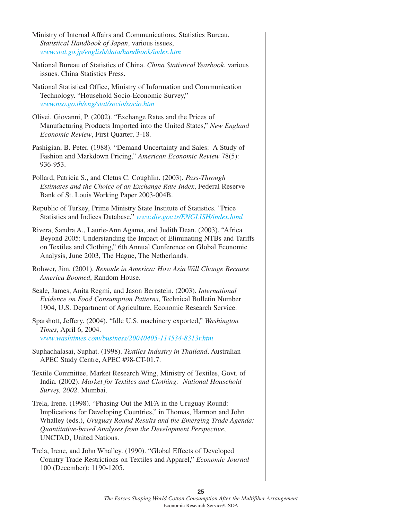| Ministry of Internal Affairs and Communications, Statistics Bureau.<br>Statistical Handbook of Japan, various issues,<br>www.stat.go.jp/english/data/handbook/index.htm                                                                                                                                    |
|------------------------------------------------------------------------------------------------------------------------------------------------------------------------------------------------------------------------------------------------------------------------------------------------------------|
| National Bureau of Statistics of China. China Statistical Yearbook, various<br>issues. China Statistics Press.                                                                                                                                                                                             |
| National Statistical Office, Ministry of Information and Communication<br>Technology. "Household Socio-Economic Survey,"<br>www.nso.go.th/eng/stat/socio/socio.htm                                                                                                                                         |
| Olivei, Giovanni, P. (2002). "Exchange Rates and the Prices of<br>Manufacturing Products Imported into the United States," New England<br>Economic Review, First Quarter, 3-18.                                                                                                                            |
| Pashigian, B. Peter. (1988). "Demand Uncertainty and Sales: A Study of<br>Fashion and Markdown Pricing," American Economic Review 78(5):<br>936-953.                                                                                                                                                       |
| Pollard, Patricia S., and Cletus C. Coughlin. (2003). Pass-Through<br>Estimates and the Choice of an Exchange Rate Index, Federal Reserve<br>Bank of St. Louis Working Paper 2003-004B.                                                                                                                    |
| Republic of Turkey, Prime Ministry State Institute of Statistics. "Price<br>Statistics and Indices Database," www.die.gov.tr/ENGLISH/index.html                                                                                                                                                            |
| Rivera, Sandra A., Laurie-Ann Agama, and Judith Dean. (2003). "Africa<br>Beyond 2005: Understanding the Impact of Eliminating NTBs and Tariffs<br>on Textiles and Clothing," 6th Annual Conference on Global Economic<br>Analysis, June 2003, The Hague, The Netherlands.                                  |
| Rohwer, Jim. (2001). Remade in America: How Asia Will Change Because<br>America Boomed, Random House.                                                                                                                                                                                                      |
| Seale, James, Anita Regmi, and Jason Bernstein. (2003). International<br>Evidence on Food Consumption Patterns, Technical Bulletin Number<br>1904, U.S. Department of Agriculture, Economic Research Service.                                                                                              |
| Sparshott, Jeffery. (2004). "Idle U.S. machinery exported," Washington<br>Times, April 6, 2004.<br>www.washtimes.com/business/20040405-114534-8313r.htm                                                                                                                                                    |
| Suphachalasai, Suphat. (1998). Textiles Industry in Thailand, Australian<br>APEC Study Centre, APEC #98-CT-01.7.                                                                                                                                                                                           |
| Textile Committee, Market Research Wing, Ministry of Textiles, Govt. of<br>India. (2002). Market for Textiles and Clothing: National Household<br>Survey, 2002. Mumbai.                                                                                                                                    |
| Trela, Irene. (1998). "Phasing Out the MFA in the Uruguay Round:<br>Implications for Developing Countries," in Thomas, Harmon and John<br>Whalley (eds.), Uruguay Round Results and the Emerging Trade Agenda:<br>Quantitative-based Analyses from the Development Perspective,<br>UNCTAD, United Nations. |
| Trela, Irene, and John Whalley. (1990). "Global Effects of Developed<br>Country Trade Restrictions on Textiles and Apparel," Economic Journal<br>100 (December): 1190-1205.                                                                                                                                |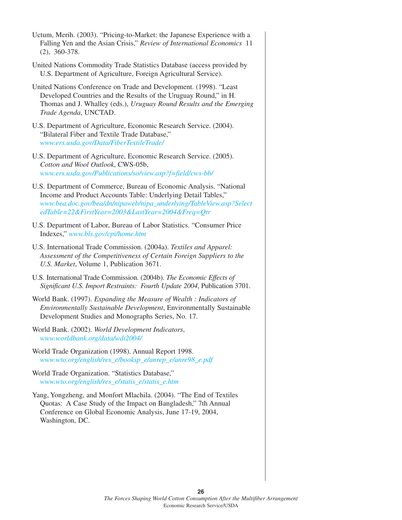| Uctum, Merih. (2003). "Pricing-to-Market: the Japanese Experience with a<br>Falling Yen and the Asian Crisis," Review of International Economics 11<br>$(2), 360-378.$                                                                                          |
|-----------------------------------------------------------------------------------------------------------------------------------------------------------------------------------------------------------------------------------------------------------------|
| United Nations Commodity Trade Statistics Database (access provided by<br>U.S. Department of Agriculture, Foreign Agricultural Service).                                                                                                                        |
| United Nations Conference on Trade and Development. (1998). "Least<br>Developed Countries and the Results of the Uruguay Round," in H.<br>Thomas and J. Whalley (eds.), Uruguay Round Results and the Emerging<br>Trade Agenda, UNCTAD.                         |
| U.S. Department of Agriculture, Economic Research Service. (2004).<br>"Bilateral Fiber and Textile Trade Database,"<br>www.ers.usda.gov/Data/FiberTextileTrade/                                                                                                 |
| U.S. Department of Agriculture, Economic Research Service. (2005).<br>Cotton and Wool Outlook, CWS-05b,<br>www.ers.usda.gov/Publications/so/view.asp?f=field/cws-bb/                                                                                            |
| U.S. Department of Commerce, Bureau of Economic Analysis. "National<br>Income and Product Accounts Table: Underlying Detail Tables,"<br>www.bea.doc.gov/bea/dn/nipaweb/nipa_underlying/TableView.asp?Select<br>edTable=22&FirstYear=2003&LastYear=2004&Freq=Qtr |
| U.S. Department of Labor, Bureau of Labor Statistics. "Consumer Price<br>Indexes," www.bls.gov/cpi/home.htm                                                                                                                                                     |
| U.S. International Trade Commission. (2004a). Textiles and Apparel:<br>Assessment of the Competitiveness of Certain Foreign Suppliers to the<br>U.S. Market, Volume 1, Publication 3671.                                                                        |
| U.S. International Trade Commission. (2004b). The Economic Effects of<br>Significant U.S. Import Restraints: Fourth Update 2004, Publication 3701.                                                                                                              |
| World Bank. (1997). Expanding the Measure of Wealth : Indicators of<br>Environmentally Sustainable Development, Environmentally Sustainable<br>Development Studies and Monographs Series, No. 17.                                                               |
| World Bank. (2002). World Development Indicators,<br>www.worldbank.org/data/wdi2004/                                                                                                                                                                            |
| World Trade Organization (1998). Annual Report 1998.<br>www.wto.org/english/res_e/booksp_e/anrep_e/anre98_e.pdf                                                                                                                                                 |
| World Trade Organization. "Statistics Database,"<br>www.wto.org/english/res_e/statis_e/statis_e.htm                                                                                                                                                             |
| Yang, Yongzheng, and Monfort Mlachila. (2004). "The End of Textiles<br>Quotas: A Case Study of the Impact on Bangladesh," 7th Annual<br>Conference on Global Economic Analysis, June 17-19, 2004,<br>Washington, DC.                                            |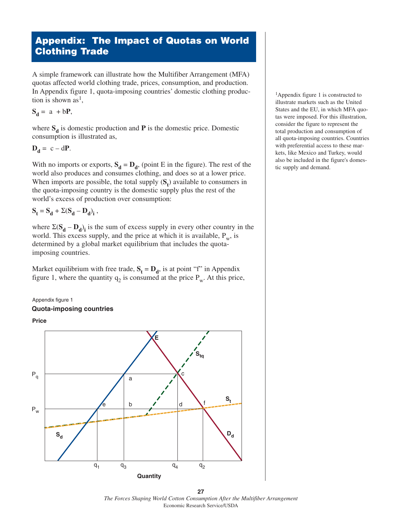# **Appendix: The Impact of Quotas on World Clothing Trade**

A simple framework can illustrate how the Multifiber Arrangement (MFA) quotas affected world clothing trade, prices, consumption, and production. In Appendix figure 1, quota-imposing countries' domestic clothing production is shown as<sup>1</sup>,

$$
S_d = a + bP,
$$

where  $S_d$  is domestic production and **P** is the domestic price. Domestic consumption is illustrated as,

$$
\mathbf{D}_{\mathbf{d}} = \mathbf{c} - \mathbf{d}\mathbf{P}.
$$

With no imports or exports,  $S_d = D_d$ , (point E in the figure). The rest of the world also produces and consumes clothing, and does so at a lower price. When imports are possible, the total supply  $(S_t)$  available to consumers in the quota-imposing country is the domestic supply plus the rest of the world's excess of production over consumption:

$$
\mathbf{S}_t = \mathbf{S}_d + \Sigma (\mathbf{S}_d - \mathbf{D}_d)_i ,
$$

where  $\Sigma(S_d - D_d)$  is the sum of excess supply in every other country in the world. This excess supply, and the price at which it is available,  $P_w$ , is determined by a global market equilibrium that includes the quotaimposing countries.

Market equilibrium with free trade,  $S_t = D_d$ , is at point "f" in Appendix figure 1, where the quantity  $q_2$  is consumed at the price  $P_w$ . At this price,







<sup>1</sup>Appendix figure 1 is constructed to illustrate markets such as the United States and the EU, in which MFA quotas were imposed. For this illustration, consider the figure to represent the total production and consumption of all quota-imposing countries. Countries with preferential access to these markets, like Mexico and Turkey, would also be included in the figure's domestic supply and demand.

**27** *The Forces Shaping World Cotton Consumption After the Multifiber Arrangement* Economic Research Service/USDA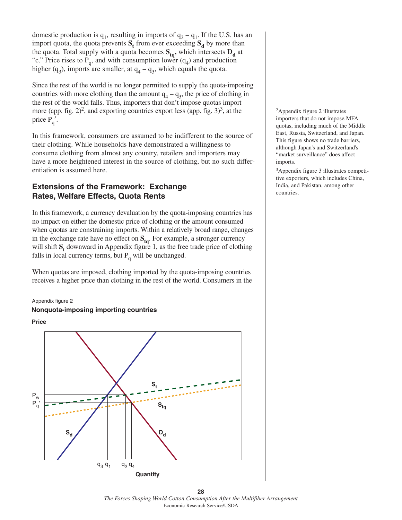domestic production is  $q_1$ , resulting in imports of  $q_2 - q_1$ . If the U.S. has an import quota, the quota prevents  $S_t$  from ever exceeding  $S_d$  by more than the quota. Total supply with a quota becomes  $S_{tq}$ , which intersects  $D_d$  at "c." Price rises to P<sub>q</sub>, and with consumption lower  $(q_4)$  and production higher (q<sub>3</sub>), imports are smaller, at  $q_4 - q_3$ , which equals the quota.

Since the rest of the world is no longer permitted to supply the quota-imposing countries with more clothing than the amount  $q_4 - q_3$ , the price of clothing in the rest of the world falls. Thus, importers that don't impose quotas import more (app. fig. 2)<sup>2</sup>, and exporting countries export less (app. fig. 3)<sup>3</sup>, at the price  $P_{a}$ .

In this framework, consumers are assumed to be indifferent to the source of their clothing. While households have demonstrated a willingness to consume clothing from almost any country, retailers and importers may have a more heightened interest in the source of clothing, but no such differentiation is assumed here.

### **Extensions of the Framework: Exchange Rates, Welfare Effects, Quota Rents**

In this framework, a currency devaluation by the quota-imposing countries has no impact on either the domestic price of clothing or the amount consumed when quotas are constraining imports. Within a relatively broad range, changes in the exchange rate have no effect on  $S_{tq}$ . For example, a stronger currency will shift  $S_t$  downward in Appendix figure 1, as the free trade price of clothing falls in local currency terms, but  $P_q$  will be unchanged.

When quotas are imposed, clothing imported by the quota-imposing countries receives a higher price than clothing in the rest of the world. Consumers in the

Appendix figure 2

#### **Nonquota-imposing importing countries**





2Appendix figure 2 illustrates importers that do not impose MFA quotas, including much of the Middle East, Russia, Switzerland, and Japan. This figure shows no trade barriers, although Japan's and Switzerland's "market surveillance" does affect imports.

3Appendix figure 3 illustrates competitive exporters, which includes China, India, and Pakistan, among other countries.

**28** *The Forces Shaping World Cotton Consumption After the Multifiber Arrangement* Economic Research Service/USDA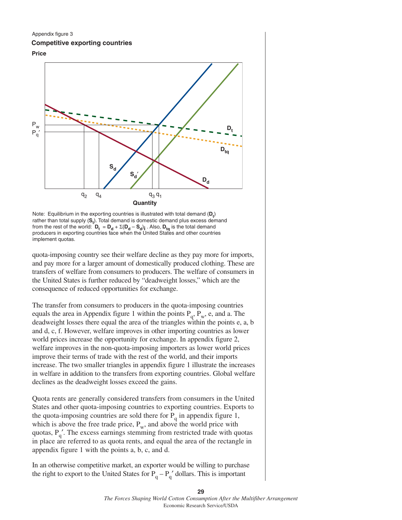#### Appendix figure 3

#### **Competitive exporting countries**





Note: Equilibrium in the exporting countries is illustrated with total demand  $(D_t)$ rather than total supply (S<sub>t</sub>). Total demand is domestic demand plus excess demand from the rest of the world:  $D_t = D_d + \Sigma(D_d - S_d)$  . Also,  $D_{tq}$  is the total demand producers in exporting countries face when the United States and other countries implement quotas.

quota-imposing country see their welfare decline as they pay more for imports, and pay more for a larger amount of domestically produced clothing. These are transfers of welfare from consumers to producers. The welfare of consumers in the United States is further reduced by "deadweight losses," which are the consequence of reduced opportunities for exchange.

The transfer from consumers to producers in the quota-imposing countries equals the area in Appendix figure 1 within the points  $P_q$ ,  $P_w$ , e, and a. The deadweight losses there equal the area of the triangles within the points e, a, b and d, c, f. However, welfare improves in other importing countries as lower world prices increase the opportunity for exchange. In appendix figure 2, welfare improves in the non-quota-imposing importers as lower world prices improve their terms of trade with the rest of the world, and their imports increase. The two smaller triangles in appendix figure 1 illustrate the increases in welfare in addition to the transfers from exporting countries. Global welfare declines as the deadweight losses exceed the gains.

Quota rents are generally considered transfers from consumers in the United States and other quota-imposing countries to exporting countries. Exports to the quota-imposing countries are sold there for  $P_q$  in appendix figure 1, which is above the free trade price,  $P_w$ , and above the world price with quotas,  $P_{q}$ . The excess earnings stemming from restricted trade with quotas in place are referred to as quota rents, and equal the area of the rectangle in appendix figure 1 with the points a, b, c, and d.

In an otherwise competitive market, an exporter would be willing to purchase the right to export to the United States for  $P_q - P_q'$  dollars. This is important